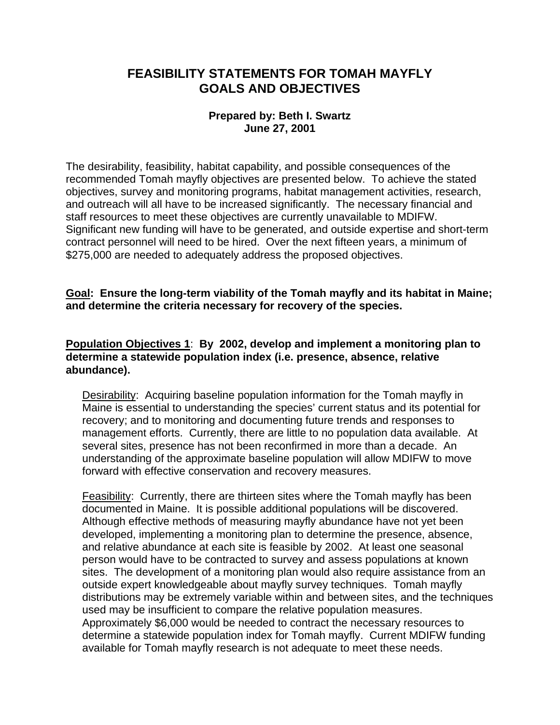# **FEASIBILITY STATEMENTS FOR TOMAH MAYFLY GOALS AND OBJECTIVES**

### **Prepared by: Beth I. Swartz June 27, 2001**

The desirability, feasibility, habitat capability, and possible consequences of the recommended Tomah mayfly objectives are presented below. To achieve the stated objectives, survey and monitoring programs, habitat management activities, research, and outreach will all have to be increased significantly. The necessary financial and staff resources to meet these objectives are currently unavailable to MDIFW. Significant new funding will have to be generated, and outside expertise and short-term contract personnel will need to be hired. Over the next fifteen years, a minimum of \$275,000 are needed to adequately address the proposed objectives.

### **Goal: Ensure the long-term viability of the Tomah mayfly and its habitat in Maine; and determine the criteria necessary for recovery of the species.**

#### **Population Objectives 1**: **By 2002, develop and implement a monitoring plan to determine a statewide population index (i.e. presence, absence, relative abundance).**

Desirability: Acquiring baseline population information for the Tomah mayfly in Maine is essential to understanding the species' current status and its potential for recovery; and to monitoring and documenting future trends and responses to management efforts. Currently, there are little to no population data available. At several sites, presence has not been reconfirmed in more than a decade. An understanding of the approximate baseline population will allow MDIFW to move forward with effective conservation and recovery measures.

Feasibility: Currently, there are thirteen sites where the Tomah mayfly has been documented in Maine. It is possible additional populations will be discovered. Although effective methods of measuring mayfly abundance have not yet been developed, implementing a monitoring plan to determine the presence, absence, and relative abundance at each site is feasible by 2002. At least one seasonal person would have to be contracted to survey and assess populations at known sites. The development of a monitoring plan would also require assistance from an outside expert knowledgeable about mayfly survey techniques. Tomah mayfly distributions may be extremely variable within and between sites, and the techniques used may be insufficient to compare the relative population measures. Approximately \$6,000 would be needed to contract the necessary resources to determine a statewide population index for Tomah mayfly. Current MDIFW funding available for Tomah mayfly research is not adequate to meet these needs.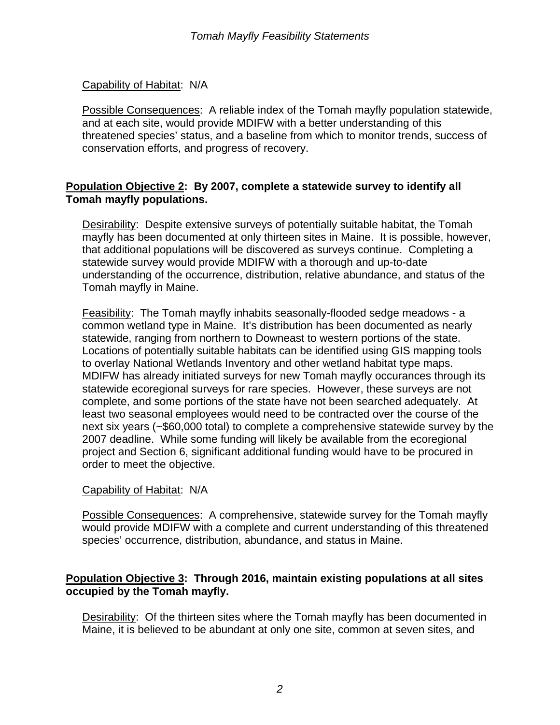### Capability of Habitat: N/A

Possible Consequences: A reliable index of the Tomah mayfly population statewide, and at each site, would provide MDIFW with a better understanding of this threatened species' status, and a baseline from which to monitor trends, success of conservation efforts, and progress of recovery.

# **Population Objective 2: By 2007, complete a statewide survey to identify all Tomah mayfly populations.**

Desirability: Despite extensive surveys of potentially suitable habitat, the Tomah mayfly has been documented at only thirteen sites in Maine. It is possible, however, that additional populations will be discovered as surveys continue. Completing a statewide survey would provide MDIFW with a thorough and up-to-date understanding of the occurrence, distribution, relative abundance, and status of the Tomah mayfly in Maine.

Feasibility: The Tomah mayfly inhabits seasonally-flooded sedge meadows - a common wetland type in Maine. It's distribution has been documented as nearly statewide, ranging from northern to Downeast to western portions of the state. Locations of potentially suitable habitats can be identified using GIS mapping tools to overlay National Wetlands Inventory and other wetland habitat type maps. MDIFW has already initiated surveys for new Tomah mayfly occurances through its statewide ecoregional surveys for rare species. However, these surveys are not complete, and some portions of the state have not been searched adequately. At least two seasonal employees would need to be contracted over the course of the next six years (~\$60,000 total) to complete a comprehensive statewide survey by the 2007 deadline. While some funding will likely be available from the ecoregional project and Section 6, significant additional funding would have to be procured in order to meet the objective.

#### Capability of Habitat: N/A

Possible Consequences: A comprehensive, statewide survey for the Tomah mayfly would provide MDIFW with a complete and current understanding of this threatened species' occurrence, distribution, abundance, and status in Maine.

# **Population Objective 3: Through 2016, maintain existing populations at all sites occupied by the Tomah mayfly.**

Desirability: Of the thirteen sites where the Tomah mayfly has been documented in Maine, it is believed to be abundant at only one site, common at seven sites, and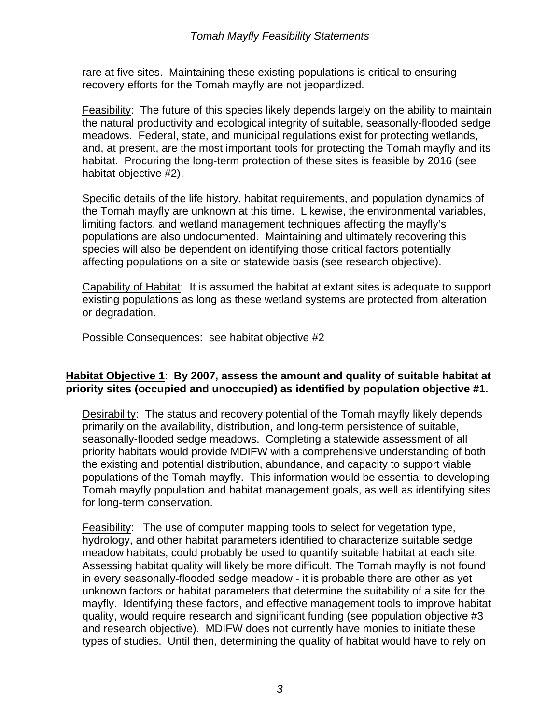rare at five sites. Maintaining these existing populations is critical to ensuring recovery efforts for the Tomah mayfly are not jeopardized.

Feasibility: The future of this species likely depends largely on the ability to maintain the natural productivity and ecological integrity of suitable, seasonally-flooded sedge meadows. Federal, state, and municipal regulations exist for protecting wetlands, and, at present, are the most important tools for protecting the Tomah mayfly and its habitat. Procuring the long-term protection of these sites is feasible by 2016 (see habitat objective #2).

Specific details of the life history, habitat requirements, and population dynamics of the Tomah mayfly are unknown at this time. Likewise, the environmental variables, limiting factors, and wetland management techniques affecting the mayfly's populations are also undocumented. Maintaining and ultimately recovering this species will also be dependent on identifying those critical factors potentially affecting populations on a site or statewide basis (see research objective).

Capability of Habitat: It is assumed the habitat at extant sites is adequate to support existing populations as long as these wetland systems are protected from alteration or degradation.

Possible Consequences: see habitat objective #2

# **Habitat Objective 1**: **By 2007, assess the amount and quality of suitable habitat at priority sites (occupied and unoccupied) as identified by population objective #1.**

Desirability: The status and recovery potential of the Tomah mayfly likely depends primarily on the availability, distribution, and long-term persistence of suitable, seasonally-flooded sedge meadows. Completing a statewide assessment of all priority habitats would provide MDIFW with a comprehensive understanding of both the existing and potential distribution, abundance, and capacity to support viable populations of the Tomah mayfly. This information would be essential to developing Tomah mayfly population and habitat management goals, as well as identifying sites for long-term conservation.

Feasibility: The use of computer mapping tools to select for vegetation type, hydrology, and other habitat parameters identified to characterize suitable sedge meadow habitats, could probably be used to quantify suitable habitat at each site. Assessing habitat quality will likely be more difficult. The Tomah mayfly is not found in every seasonally-flooded sedge meadow - it is probable there are other as yet unknown factors or habitat parameters that determine the suitability of a site for the mayfly. Identifying these factors, and effective management tools to improve habitat quality, would require research and significant funding (see population objective #3 and research objective). MDIFW does not currently have monies to initiate these types of studies. Until then, determining the quality of habitat would have to rely on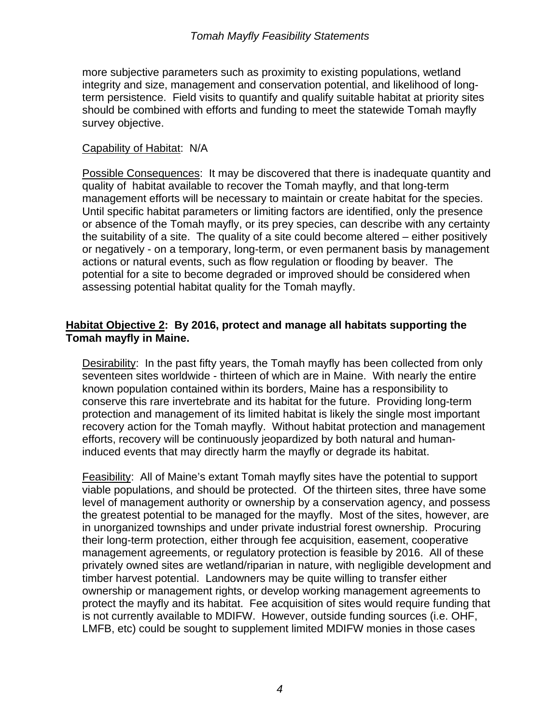more subjective parameters such as proximity to existing populations, wetland integrity and size, management and conservation potential, and likelihood of longterm persistence. Field visits to quantify and qualify suitable habitat at priority sites should be combined with efforts and funding to meet the statewide Tomah mayfly survey objective.

#### Capability of Habitat: N/A

Possible Consequences: It may be discovered that there is inadequate quantity and quality of habitat available to recover the Tomah mayfly, and that long-term management efforts will be necessary to maintain or create habitat for the species. Until specific habitat parameters or limiting factors are identified, only the presence or absence of the Tomah mayfly, or its prey species, can describe with any certainty the suitability of a site. The quality of a site could become altered – either positively or negatively - on a temporary, long-term, or even permanent basis by management actions or natural events, such as flow regulation or flooding by beaver. The potential for a site to become degraded or improved should be considered when assessing potential habitat quality for the Tomah mayfly.

# **Habitat Objective 2: By 2016, protect and manage all habitats supporting the Tomah mayfly in Maine.**

Desirability: In the past fifty years, the Tomah mayfly has been collected from only seventeen sites worldwide - thirteen of which are in Maine. With nearly the entire known population contained within its borders, Maine has a responsibility to conserve this rare invertebrate and its habitat for the future. Providing long-term protection and management of its limited habitat is likely the single most important recovery action for the Tomah mayfly. Without habitat protection and management efforts, recovery will be continuously jeopardized by both natural and humaninduced events that may directly harm the mayfly or degrade its habitat.

Feasibility: All of Maine's extant Tomah mayfly sites have the potential to support viable populations, and should be protected. Of the thirteen sites, three have some level of management authority or ownership by a conservation agency, and possess the greatest potential to be managed for the mayfly. Most of the sites, however, are in unorganized townships and under private industrial forest ownership. Procuring their long-term protection, either through fee acquisition, easement, cooperative management agreements, or regulatory protection is feasible by 2016. All of these privately owned sites are wetland/riparian in nature, with negligible development and timber harvest potential. Landowners may be quite willing to transfer either ownership or management rights, or develop working management agreements to protect the mayfly and its habitat. Fee acquisition of sites would require funding that is not currently available to MDIFW. However, outside funding sources (i.e. OHF, LMFB, etc) could be sought to supplement limited MDIFW monies in those cases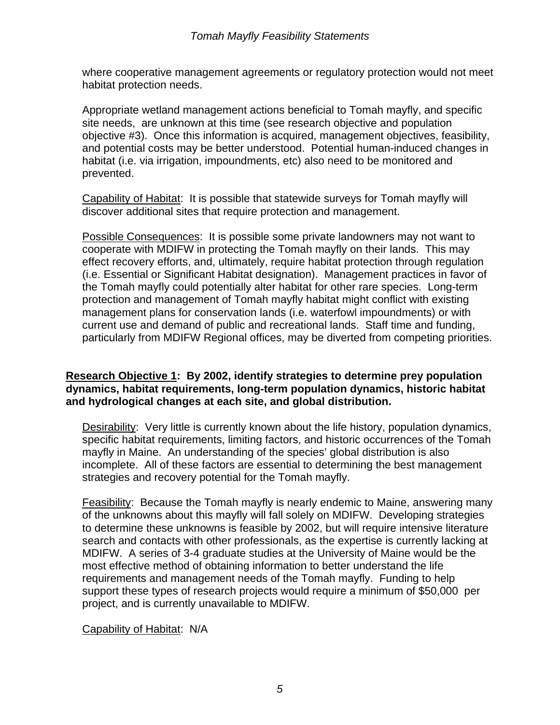where cooperative management agreements or regulatory protection would not meet habitat protection needs.

Appropriate wetland management actions beneficial to Tomah mayfly, and specific site needs, are unknown at this time (see research objective and population objective #3). Once this information is acquired, management objectives, feasibility, and potential costs may be better understood. Potential human-induced changes in habitat (i.e. via irrigation, impoundments, etc) also need to be monitored and prevented.

Capability of Habitat: It is possible that statewide surveys for Tomah mayfly will discover additional sites that require protection and management.

Possible Consequences: It is possible some private landowners may not want to cooperate with MDIFW in protecting the Tomah mayfly on their lands. This may effect recovery efforts, and, ultimately, require habitat protection through regulation (i.e. Essential or Significant Habitat designation). Management practices in favor of the Tomah mayfly could potentially alter habitat for other rare species. Long-term protection and management of Tomah mayfly habitat might conflict with existing management plans for conservation lands (i.e. waterfowl impoundments) or with current use and demand of public and recreational lands. Staff time and funding, particularly from MDIFW Regional offices, may be diverted from competing priorities.

# **Research Objective 1: By 2002, identify strategies to determine prey population dynamics, habitat requirements, long-term population dynamics, historic habitat and hydrological changes at each site, and global distribution.**

Desirability: Very little is currently known about the life history, population dynamics, specific habitat requirements, limiting factors, and historic occurrences of the Tomah mayfly in Maine. An understanding of the species' global distribution is also incomplete. All of these factors are essential to determining the best management strategies and recovery potential for the Tomah mayfly.

Feasibility: Because the Tomah mayfly is nearly endemic to Maine, answering many of the unknowns about this mayfly will fall solely on MDIFW. Developing strategies to determine these unknowns is feasible by 2002, but will require intensive literature search and contacts with other professionals, as the expertise is currently lacking at MDIFW. A series of 3-4 graduate studies at the University of Maine would be the most effective method of obtaining information to better understand the life requirements and management needs of the Tomah mayfly. Funding to help support these types of research projects would require a minimum of \$50,000 per project, and is currently unavailable to MDIFW.

Capability of Habitat: N/A